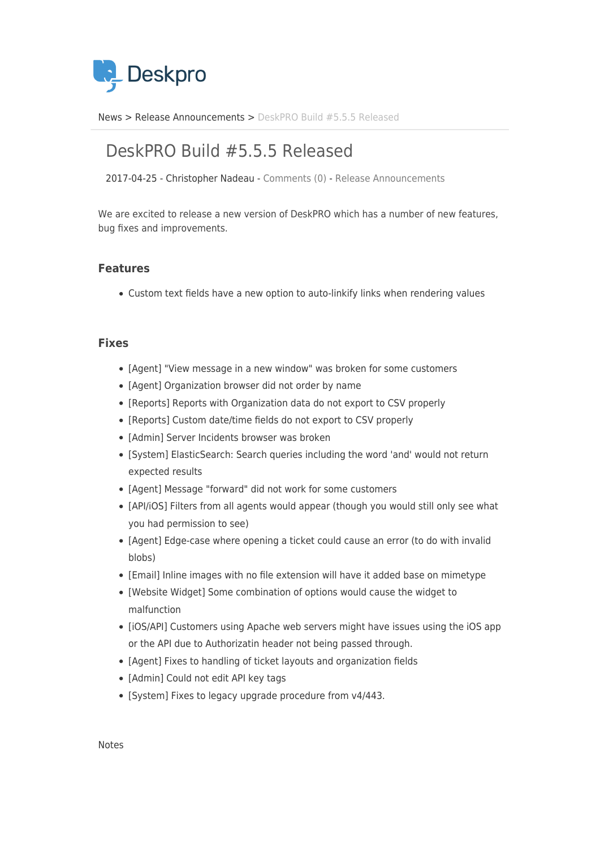

[News](https://support.deskpro.com/ro/news) > [Release Announcements](https://support.deskpro.com/ro/news/release-announcements) > [DeskPRO Build #5.5.5 Released](https://support.deskpro.com/ro/news/posts/deskpro-build-5-5-5-released)

## DeskPRO Build #5.5.5 Released

2017-04-25 - Christopher Nadeau - [Comments \(0\)](#page--1-0) - [Release Announcements](https://support.deskpro.com/ro/news/release-announcements)

We are excited to release a new version of DeskPRO which has a number of new features, bug fixes and improvements.

## **Features**

Custom text fields have a new option to auto-linkify links when rendering values

## **Fixes**

- [Agent] "View message in a new window" was broken for some customers
- [Agent] Organization browser did not order by name
- [Reports] Reports with Organization data do not export to CSV properly
- [Reports] Custom date/time fields do not export to CSV properly
- [Admin] Server Incidents browser was broken
- [System] ElasticSearch: Search queries including the word 'and' would not return expected results
- [Agent] Message "forward" did not work for some customers
- [API/iOS] Filters from all agents would appear (though you would still only see what you had permission to see)
- [Agent] Edge-case where opening a ticket could cause an error (to do with invalid blobs)
- [Email] Inline images with no file extension will have it added base on mimetype
- [Website Widget] Some combination of options would cause the widget to malfunction
- [iOS/API] Customers using Apache web servers might have issues using the iOS app or the API due to Authorizatin header not being passed through.
- [Agent] Fixes to handling of ticket layouts and organization fields
- [Admin] Could not edit API key tags
- [System] Fixes to legacy upgrade procedure from v4/443.

Notes